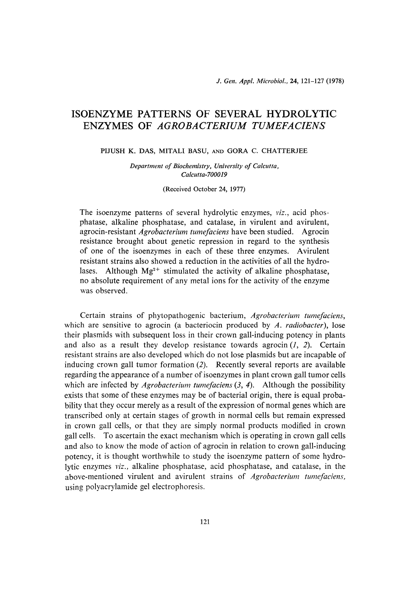# ISOENZYME PATTERNS OF SEVERAL HYDROLY" ENZYMES OF *AGROBACTERIUM TUMEFACII*

PIJUSH K. DAS, MITALI BASU, AND GORA C. CHATTERJEE

Department of Biochemistry, University of Calcutta, Calcutta-700019

(Received October 24, 1977)

The isoenzyme patterns of several hydrolytic enzymes, *viz.*, acid phosphatase, alkaline phosphatase, and catalase, in virulent and avirulent, agrocin-resistant Agrobacterium tumefaciens have been studied. Agrocin resistance brought about genetic repression in regard to the synthesis of one of the isoenzymes in each of these three enzymes. Avirulent resistant strains also showed a reduction in the activities of all the hydrolases. Although  $Mg^{2+}$  stimulated the activity of alkaline phosphatase, no absolute requirement of any metal ions for the activity of the enzyme was observed.

 Certain strains of phytopathogenic bacterium, Agrobacterium tumefaciens, which are sensitive to agrocin (a bacteriocin produced by  $A$ . *radiobacter*), lose their plasmids with subsequent loss in their crown gall-inducing potency in plants and also as a result they develop resistance towards agrocin  $(1, 2)$ . Certain resistant strains are also developed which do not lose plasmids but are incapable of inducing crown gall tumor formation (2). Recently several reports are available regarding the appearance of a number of isoenzymes in plant crown gall tumor cells which are infected by *Agrobacterium tumefaciens*  $(3, 4)$ . Although the possibility exists that some of these enzymes may be of bacterial origin, there is equal probability that they occur merely as a result of the expression of normal genes which are transcribed only at certain stages of growth in normal cells but remain expressed in crown gall cells, or that they are simply normal products modified in crown gall cells. To ascertain the exact mechanism which is operating in crown gall cells and also to know the mode of action of agrocin in relation to crown gall-inducing potency, it is thought worthwhile to study the isoenzyme pattern of some hydrolytic enzymes viz., alkaline phosphatase, acid phosphatase, and catalase, in the above-mentioned virulent and avirulent strains of Agrobacterium tumefaciens, using polyacrylamide gel electrophoresis.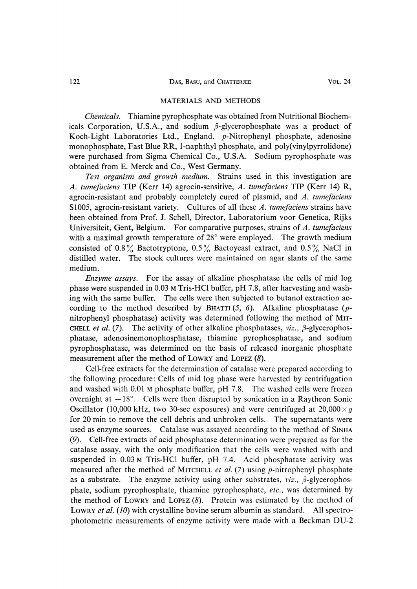## MATERIALS AND METHODS

 Chemicals. Thiamine pyrophosphate was obtained from Nutritional Biochemicals Corporation, U.S.A., and sodium  $\beta$ -glycerophosphate was a product of Koch-Light Laboratories Ltd., England. p-Nitrophenyl phosphate, adenosine monophosphate, Fast Blue RR, l-naphthyl phosphate, and poly(vinylpyrrolidone) were purchased from Sigma Chemical Co., U.S.A. Sodium pyrophosphate was obtained from E. Merck and Co., West Germany.

 Test organism and growth medium. Strains used in this investigation are A. tumefaciens TIP (Kerr 14) agrocin-sensitive, A. tumefaciens TIP (Kerr 14) R, agrocin-resistant and probably completely cured of plasmid, and A, tumefaciens S1005, agrocin-resistant variety. Cultures of all these A. tumefaciens strains have been obtained from Prof. J. Schell, Director, Laboratorium voor Genetica, Rijks Universiteit, Gent, Belgium. For comparative purposes, strains of A, tumefaciens with a maximal growth temperature of 28° were employed. The growth medium consisted of 0.8% Bactotryptone, 0.5% Bactoyeast extract, and 0.5% NaCl in distilled water. The stock cultures were maintained on agar slants of the same medium.

 Enzyme assays. For the assay of alkaline phosphatase the cells of mid log phase were suspended in 0.03 M Tris-HC1 buffer, pH 7.8, after harvesting and washing with the same buffer. The cells were then subjected to butanol extraction according to the method described by BHATTI  $(5, 6)$ . Alkaline phosphatase (pnitrophenyl phosphatase) activity was determined following the method of MIT-CHELL et al. (7). The activity of other alkaline phosphatases,  $viz, \beta$ -glycerophosphatase, adenosinemonophosphatase, thiamine pyrophosphatase, and sodium pyrophosphatase, was determined on the basis of released inorganic phosphate measurement after the method of LOwRY and LOPEZ (8).

 Cell-free extracts for the determination of catalase were prepared according to the following procedure : Cells of mid log phase were harvested by centrifugation and washed with 0.01 M phosphate buffer, pH 7.8. The washed cells were frozen overnight at  $-18^\circ$ . Cells were then disrupted by sonication in a Raytheon Sonic Oscillator (10,000 kHz, two 30-sec exposures) and were centrifuged at  $20,000 \times g$ for 20 min to remove the cell debris and unbroken cells. The supernatants were used as enzyme sources. Catalase was assayed according to the method of SINHA (9). Cell-free extracts of acid phosphatase determination were prepared as for the catalase assay, with the only modification that the cells were washed with and suspended in 0.03 M Tris-HC1 buffer, pH 7.4. Acid phosphatase activity was measured after the method of MITCHELL *et al.* (7) using *p*-nitrophenyl phosphate as a substrate. The enzyme activity using other substrates,  $viz.$ ,  $\beta$ -glycerophosphate, sodium pyrophosphate, thiamine pyrophosphate, etc., was determined by the method of LOWRY and LOPEZ  $(8)$ . Protein was estimated by the method of LOWRY *et al.* (10) with crystalline bovine serum albumin as standard. All spectrophotometric measurements of enzyme activity were made with a Beckman DU-2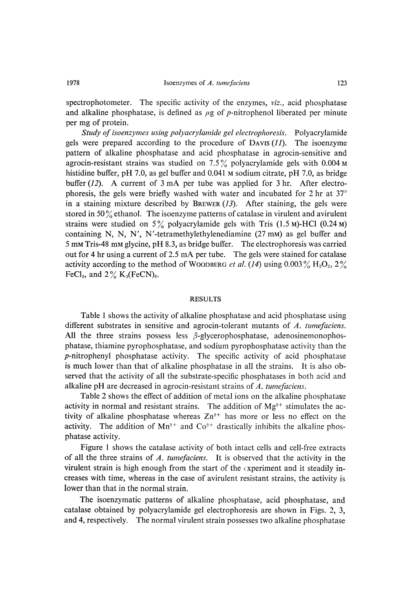spectrophotometer. The specific activity of the enzymes, *viz.*, acid phosphatase and alkaline phosphatase, is defined as  $\mu$ g of p-nitrophenol liberated per minute per mg of protein.

 Study of isoenzymes using polyacrylamide gel electrophoresis. Polyacrylamide gels were prepared according to the procedure of DAVIS  $(11)$ . The isoenzyme pattern of alkaline phosphatase and acid phosphatase in agrocin-sensitive and agrocin-resistant strains was studied on 7.5% polyacrylamide gels with 0.004  $\text{M}$ histidine buffer, pH 7.0, as gel buffer and 0.041 M sodium citrate, pH 7.0, as bridge buffer (12). A current of 3 mA per tube was applied for 3 hr. After electrophoresis, the gels were briefly washed with water and incubated for 2 hr at 37° in a staining mixture described by BREWER  $(13)$ . After staining, the gels were stored in 50 $\%$  ethanol. The isoenzyme patterns of catalase in virulent and avirulent strains were studied on  $5\%$  polyacrylamide gels with Tris (1.5 M)-HCl (0.24 M) containing N, N, N', N'-tetramethylethylenediamine (27 mM) as gel buffer and 5 mM Tris-48 mM glycine, pH 8.3, as bridge buffer. The electrophoresis was carried out for 4 hr using a current of 2.5 mA per tube. The gels were stained for catalase activity according to the method of WOODBERG *et al.* (14) using 0.003  $\%$  H<sub>2</sub>O<sub>2</sub>, 2 $\%$ FeCl<sub>3</sub>, and  $2\%$  K<sub>3</sub>(FeCN)<sub>6</sub>.

## RESULTS

 Table 1 shows the activity of alkaline phosphatase and acid phosphatase using different substrates in sensitive and agrocin-tolerant mutants of A. tumefaciens. All the three strains possess less  $\beta$ -glycerophosphatase, adenosinemonophosphatase, thiamine pyrophosphatase, and sodium pyrophosphatase activity than the p-nitrophenyl phosphatase activity. The specific activity of acid phosphatase is much lower than that of alkaline phosphatase in all the strains. It is also observed that the activity of all the substrate-specific phosphatases in both acid and alkaline pH are decreased in agrocin-resistant strains of A. tumefaciens.

 Table 2 shows the effect of addition of metal ions on the alkaline phosphatase activity in normal and resistant strains. The addition of  $Mg^{2+}$  stimulates the activity of alkaline phosphatase whereas  $Zn^{2+}$  has more or less no effect on the activity. The addition of  $Mn^{2+}$  and  $Co^{2+}$  drastically inhibits the alkaline phosphatase activity.

 Figure 1 shows the catalase activity of both intact cells and cell-free extracts of all the three strains of A. tumefaciens. It is observed that the activity in the virulent strain is high enough from the start of the experiment and it steadily increases with time, whereas in the case of avirulent resistant strains, the activity is lower than that in the normal strain.

 The isoenzymatic patterns of alkaline phosphatase, acid phosphatase, and catalase obtained by polyacrylamide gel electrophoresis are shown in Figs. 2, 3, and 4, respectively. The normal virulent strain possesses two alkaline phosphatase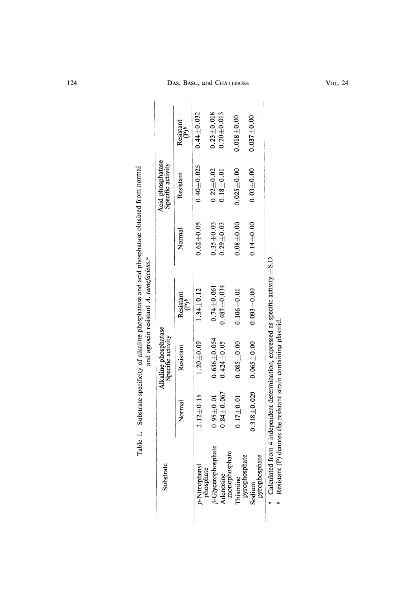| $0.62 + 0.05$<br>$0.08 \pm 0.00$<br>$0.14 + 0.00$<br>$0.35 + 0.03$<br>$0.29 + 0.03$<br>Normal<br>$0.487 + 0.034$<br>$0.74 \pm 0.061$<br>$1.34 \pm 0.12$<br>$0.093 + 0.00$<br>$0.106 + 0.01$<br>Resistant<br>$\tilde{e}$<br>Alkaline phosphatase<br>Specific activity<br>$0.636 + 0.054$<br>$0.085 + 0.00$<br>$0.065 \pm 0.00$<br>$1.20 \pm 0.09$<br>$0.424 \pm 0.05$<br>Resistant<br>$0.318 + 0.029$<br>$0.84 \pm 0.067$<br>$2.12 + 0.15$<br>$0.95 \pm 0.01$<br>$0.17 \pm 0.01$<br>Norma<br>3-Glycerophosphate<br>Adenosine<br>monophosphate<br>pyrophosphate<br>pyrophosphate<br>p-Nitrophenyl<br>phosphate<br>Substrate<br>Thiamine<br>Sodium | Table 1. Substrate specificity of alkaline phosphatase and acid phosphatase obtained from normal |                                   |
|-------------------------------------------------------------------------------------------------------------------------------------------------------------------------------------------------------------------------------------------------------------------------------------------------------------------------------------------------------------------------------------------------------------------------------------------------------------------------------------------------------------------------------------------------------------------------------------------------------------------------------------------------|--------------------------------------------------------------------------------------------------|-----------------------------------|
|                                                                                                                                                                                                                                                                                                                                                                                                                                                                                                                                                                                                                                                 | Acid phosphatase<br>Specific activity                                                            |                                   |
|                                                                                                                                                                                                                                                                                                                                                                                                                                                                                                                                                                                                                                                 | Resistant                                                                                        | Resistant<br>$\hat{\mathbf{e}}^*$ |
|                                                                                                                                                                                                                                                                                                                                                                                                                                                                                                                                                                                                                                                 | $0.40 + 0.025$                                                                                   | $0.44 + 0.032$                    |
|                                                                                                                                                                                                                                                                                                                                                                                                                                                                                                                                                                                                                                                 | $0.22\!\pm\!0.02$                                                                                | $0.23 + 0.018$                    |
|                                                                                                                                                                                                                                                                                                                                                                                                                                                                                                                                                                                                                                                 | $0.18\!\pm\!0.01$                                                                                | $0.20 \pm 0.013$                  |
|                                                                                                                                                                                                                                                                                                                                                                                                                                                                                                                                                                                                                                                 | $0.025 \pm 0.00$                                                                                 | $0.018 + 0.00$                    |
|                                                                                                                                                                                                                                                                                                                                                                                                                                                                                                                                                                                                                                                 | $0.03 + 0.00$                                                                                    | $0.037\pm0.00$                    |

 $\begin{array}{c} \begin{array}{c} \begin{array}{c} \end{array} \\ \begin{array}{c} \end{array} \end{array} \end{array}$ 

124 DAS, BASU, and CHATTERJEE VOL. 24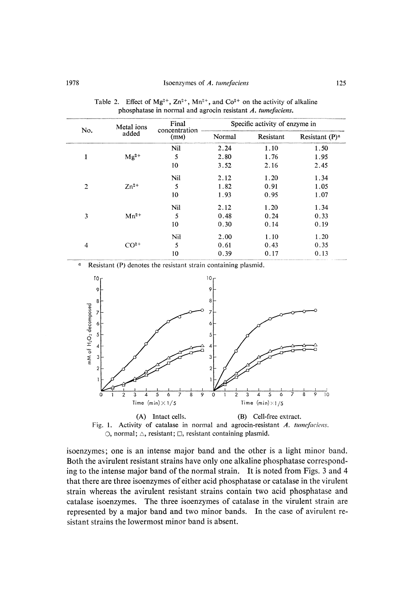| No.            | Metal ions<br>added | Final<br>concentration<br>(mM) | Specific activity of enzyme in |           |                   |
|----------------|---------------------|--------------------------------|--------------------------------|-----------|-------------------|
|                |                     |                                | Normal                         | Resistant | Resistant $(P)^a$ |
| 1              | $Mg^{2+}$           | Nil                            | 2.24                           | 1.10      | 1.50              |
|                |                     | 5                              | 2.80                           | 1.76      | 1.95              |
|                |                     | 10                             | 3.52                           | 2.16      | 2.45              |
| $\overline{2}$ | $Zn^{2+}$           | Nil                            | 2.12                           | 1.20      | 1.34              |
|                |                     | 5                              | 1.82                           | 0.91      | 1.05              |
|                |                     | 10                             | 1.93                           | 0.95      | 1.07              |
| 3              | $Mn^{2+}$           | Nil                            | 2.12                           | 1.20      | 1.34              |
|                |                     | 5                              | 0.48                           | 0.24      | 0.33              |
|                |                     | 10                             | 0.30                           | 0.14      | 0.19              |
| $\overline{4}$ | $CO2+$              | Nil                            | 2.00                           | 1.10      | 1.20              |
|                |                     | 5                              | 0.61                           | 0.43      | 0.35              |
|                |                     | 10                             | 0.39                           | 0.17      | 0.13              |

Table 2. Effect of Mg<sup>2+</sup>,  $\text{Zn}^{2+}$ , Mn<sup>2+</sup>, and Co<sup>2+</sup> on the activity of alkalin phosphatase in normal and agrocin resistant A, tumefaciens.

Resistant (P) denotes the resistant strain containing plasmid.  $\boldsymbol{a}$ 





isoenzymes; one is an intense major band and the other is a light minor band. Both the avirulent resistant strains have only one alkaline phosphatase corresponding to the intense major band of the normal strain. It is noted from Figs. 3 and 4 that there are three isoenzymes of either acid phosphatase or catalase in the virulent strain whereas the avirulent resistant strains contain two acid phosphatase and catalase isoenzymes. The three isoenzymes of catalase in the virulent strain are represented by a major band and two minor bands. In the case of avirulent resistant strains the lowermost minor band is absent.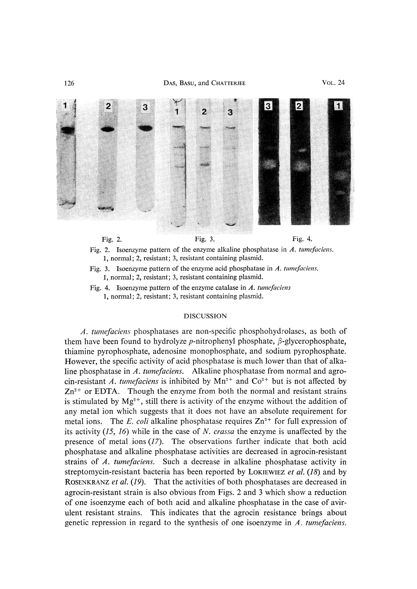



1, normal; 2, resistant; 3, resistant containing plasmid.

Fig. 4. Isoenzyme pattern of the enzyme catalase in  $\Lambda$ . tume faciens 1, normal; 2, resistant; 3, resistant containing plasmid.

## DISCUSSION

 A. tumefaciens phosphatases are non-specific phosphohydrolases, as both of them have been found to hydrolyze *p*-nitrophenyl phosphate,  $\beta$ -glycerophosphate, thiamine pyrophosphate, adenosine monophosphate, and sodium pyrophosphate. However, the specific activity of acid phosphatase is much lower than that of alkaline phosphatase in A. tumefaciens. Alkaline phosphatase from normal and agrocin-resistant A. tumefaciens is inhibited by  $Mn^{2+}$  and  $Co^{2+}$  but is not affected by  $Zn^{2+}$  or EDTA. Though the enzyme from both the normal and resistant strains is stimulated by  $Mg^{2+}$ , still there is activity of the enzyme without the addition of any metal ion which suggests that it does not have an absolute requirement for metal ions. The E. coli alkaline phosphatase requires  $Zn^{2+}$  for full expression of its activity  $(15, 16)$  while in the case of N. *crassa* the enzyme is unaffected by the presence of metal ions  $(17)$ . The observations further indicate that both acid phosphatase and alkaline phosphatase activities are decreased in agrocin-resistant strains of A. tumefaciens. Such a decrease in alkaline phosphatase activity in streptomycin-resistant bacteria has been reported by LOKIEWIEZ et al.  $(18)$  and by ROSENKRANZ et al. (19). That the activities of both phosphatases are decreased in agrocin-resistant strain is also obvious from Figs. 2 and 3 which show a reduction of one isoenzyme each of both acid and alkaline phosphatase in the case of avirulent resistant strains. This indicates that the agrocin resistance brings about genetic repression in regard to the synthesis of one isoenzyme in A. tumefaciens.